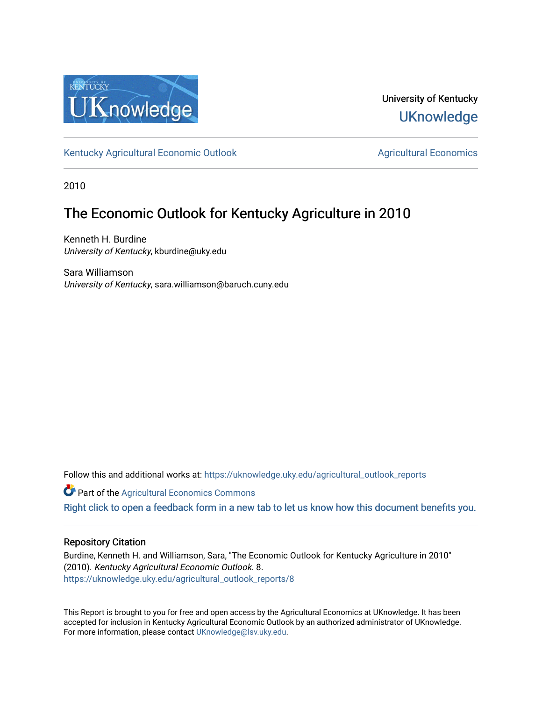

University of Kentucky **UKnowledge** 

[Kentucky Agricultural Economic Outlook](https://uknowledge.uky.edu/agricultural_outlook_reports) [Agricultural Economics](https://uknowledge.uky.edu/agecon) Agricultural Economics

2010

# The Economic Outlook for Kentucky Agriculture in 2010

Kenneth H. Burdine University of Kentucky, kburdine@uky.edu

Sara Williamson University of Kentucky, sara.williamson@baruch.cuny.edu

Follow this and additional works at: [https://uknowledge.uky.edu/agricultural\\_outlook\\_reports](https://uknowledge.uky.edu/agricultural_outlook_reports?utm_source=uknowledge.uky.edu%2Fagricultural_outlook_reports%2F8&utm_medium=PDF&utm_campaign=PDFCoverPages) 

**Part of the Agricultural Economics Commons** 

[Right click to open a feedback form in a new tab to let us know how this document benefits you.](https://uky.az1.qualtrics.com/jfe/form/SV_9mq8fx2GnONRfz7)

## Repository Citation

Burdine, Kenneth H. and Williamson, Sara, "The Economic Outlook for Kentucky Agriculture in 2010" (2010). Kentucky Agricultural Economic Outlook. 8. [https://uknowledge.uky.edu/agricultural\\_outlook\\_reports/8](https://uknowledge.uky.edu/agricultural_outlook_reports/8?utm_source=uknowledge.uky.edu%2Fagricultural_outlook_reports%2F8&utm_medium=PDF&utm_campaign=PDFCoverPages) 

This Report is brought to you for free and open access by the Agricultural Economics at UKnowledge. It has been accepted for inclusion in Kentucky Agricultural Economic Outlook by an authorized administrator of UKnowledge. For more information, please contact [UKnowledge@lsv.uky.edu.](mailto:UKnowledge@lsv.uky.edu)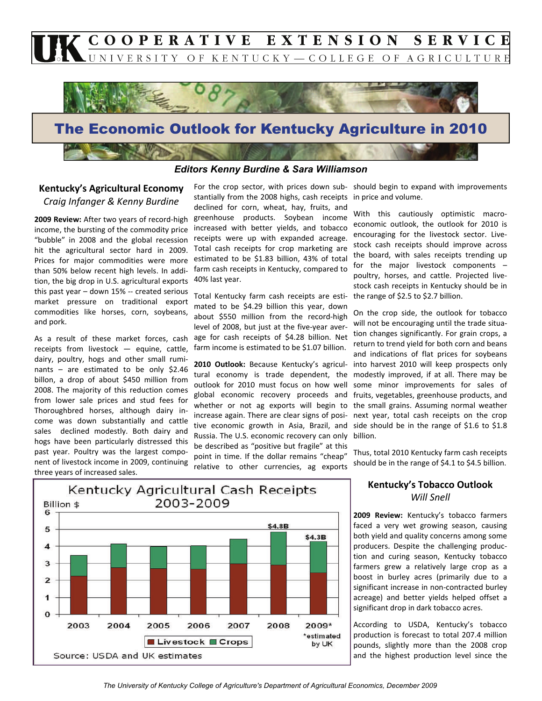



## *Editors Kenny Burdine & Sara Williamson*

# **Kentucky's Agricultural Economy** *Craig Infanger & Kenny Burdine*

**2009 Review:** After two years of record‐high income, the bursting of the commodity price "bubble" in 2008 and the global recession hit the agricultural sector hard in 2009. Prices for major commodities were more than 50% below recent high levels. In addi‐ tion, the big drop in U.S. agricultural exports this past year – down 15% ‐‐ created serious market pressure on traditional export commodities like horses, corn, soybeans, and pork.

As a result of these market forces, cash receipts from livestock — equine, cattle, dairy, poultry, hogs and other small rumi‐ nants – are estimated to be only \$2.46 billon, a drop of about \$450 million from 2008. The majority of this reduction comes from lower sale prices and stud fees for Thoroughbred horses, although dairy in‐ come was down substantially and cattle sales declined modestly. Both dairy and hogs have been particularly distressed this past year. Poultry was the largest component of livestock income in 2009, continuing three years of increased sales.

For the crop sector, with prices down sub‐ stantially from the 2008 highs, cash receipts in price and volume. declined for corn, wheat, hay, fruits, and greenhouse products. Soybean income increased with better yields, and tobacco receipts were up with expanded acreage. Total cash receipts for crop marketing are estimated to be \$1.83 billion, 43% of total farm cash receipts in Kentucky, compared to 40% last year.

Total Kentucky farm cash receipts are esti‐ mated to be \$4.29 billion this year, down about \$550 million from the record-high level of 2008, but just at the five‐year aver‐ age for cash receipts of \$4.28 billion. Net farm income is estimated to be \$1.07 billion.

**2010 Outlook:** Because Kentucky's agricul‐ tural economy is trade dependent, the outlook for 2010 must focus on how well global economic recovery proceeds and whether or not ag exports will begin to increase again. There are clear signs of posi‐ tive economic growth in Asia, Brazil, and Russia. The U.S. economic recovery can only be described as "positive but fragile" at this point in time. If the dollar remains "cheap" relative to other currencies, ag exports

should begin to expand with improvements

With this cautiously optimistic macroeconomic outlook, the outlook for 2010 is encouraging for the livestock sector. Live‐ stock cash receipts should improve across the board, with sales receipts trending up for the major livestock components – poultry, horses, and cattle. Projected live‐ stock cash receipts in Kentucky should be in the range of \$2.5 to \$2.7 billion.

On the crop side, the outlook for tobacco will not be encouraging until the trade situation changes significantly. For grain crops, a return to trend yield for both corn and beans and indications of flat prices for soybeans into harvest 2010 will keep prospects only modestly improved, if at all. There may be some minor improvements for sales of fruits, vegetables, greenhouse products, and the small grains. Assuming normal weather next year, total cash receipts on the crop side should be in the range of \$1.6 to \$1.8 billion.

Thus, total 2010 Kentucky farm cash receipts should be in the range of \$4.1 to \$4.5 billion.



## **Kentucky's Tobacco Outlook** *Will Snell*

**2009 Review:** Kentucky's tobacco farmers faced a very wet growing season, causing both yield and quality concerns among some producers. Despite the challenging produc‐ tion and curing season, Kentucky tobacco farmers grew a relatively large crop as a boost in burley acres (primarily due to a significant increase in non‐contracted burley acreage) and better yields helped offset a significant drop in dark tobacco acres.

According to USDA, Kentucky's tobacco production is forecast to total 207.4 million pounds, slightly more than the 2008 crop and the highest production level since the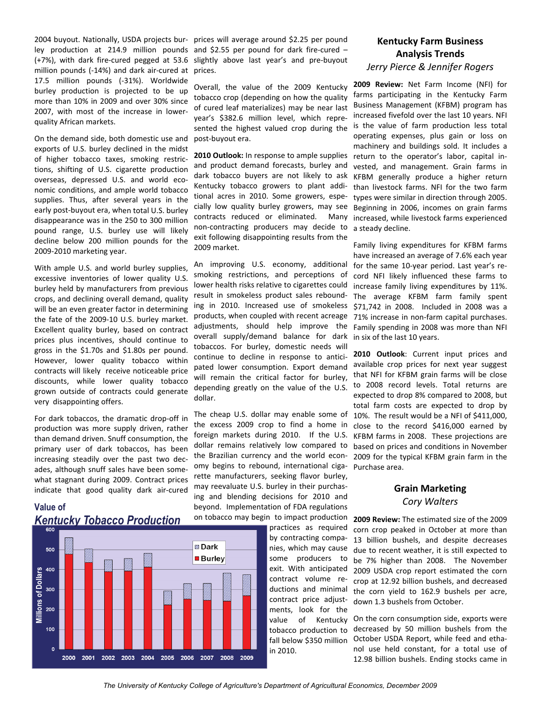2004 buyout. Nationally, USDA projects bur‐ prices will average around \$2.25 per pound ley production at 214.9 million pounds and \$2.55 per pound for dark fire-cured -(+7%), with dark fire‐cured pegged at 53.6 slightly above last year's and pre‐buyout million pounds (‐14%) and dark air‐cured at 17.5 million pounds (‐31%). Worldwide burley production is projected to be up more than 10% in 2009 and over 30% since 2007, with most of the increase in lower‐ quality African markets.

On the demand side, both domestic use and exports of U.S. burley declined in the midst of higher tobacco taxes, smoking restric‐ tions, shifting of U.S. cigarette production overseas, depressed U.S. and world eco‐ nomic conditions, and ample world tobacco supplies. Thus, after several years in the early post-buyout era, when total U.S. burley disappearance was in the 250 to 300 million pound range, U.S. burley use will likely decline below 200 million pounds for the 2009‐2010 marketing year.

With ample U.S. and world burley supplies, excessive inventories of lower quality U.S. burley held by manufacturers from previous crops, and declining overall demand, quality will be an even greater factor in determining the fate of the 2009‐10 U.S. burley market. Excellent quality burley, based on contract prices plus incentives, should continue to gross in the \$1.70s and \$1.80s per pound. However, lower quality tobacco within contracts will likely receive noticeable price discounts, while lower quality tobacco grown outside of contracts could generate very disappointing offers.

For dark tobaccos, the dramatic drop‐off in production was more supply driven, rather than demand driven. Snuff consumption, the primary user of dark tobaccos, has been increasing steadily over the past two dec‐ ades, although snuff sales have been some‐ what stagnant during 2009. Contract prices indicate that good quality dark air‐cured

# **Value of**  *Kentucky Tobacco Production*



prices.

Overall, the value of the 2009 Kentucky tobacco crop (depending on how the quality of cured leaf materializes) may be near last year's \$382.6 million level, which repre‐ sented the highest valued crop during the post‐buyout era.

**2010 Outlook:** In response to ample supplies and product demand forecasts, burley and dark tobacco buyers are not likely to ask Kentucky tobacco growers to plant addi‐ tional acres in 2010. Some growers, espe‐ cially low quality burley growers, may see contracts reduced or eliminated. Many non‐contracting producers may decide to exit following disappointing results from the 2009 market.

An improving U.S. economy, additional smoking restrictions, and perceptions of lower health risks relative to cigarettes could result in smokeless product sales rebound‐ ing in 2010. Increased use of smokeless products, when coupled with recent acreage adjustments, should help improve the overall supply/demand balance for dark tobaccos. For burley, domestic needs will continue to decline in response to anticipated lower consumption. Export demand will remain the critical factor for burley, depending greatly on the value of the U.S. dollar.

The cheap U.S. dollar may enable some of the excess 2009 crop to find a home in foreign markets during 2010. If the U.S. dollar remains relatively low compared to the Brazilian currency and the world econ‐ omy begins to rebound, international ciga‐ rette manufacturers, seeking flavor burley, may reevaluate U.S. burley in their purchas‐ ing and blending decisions for 2010 and beyond. Implementation of FDA regulations on tobacco may begin to impact production

practices as required by contracting compa‐ nies, which may cause some producers to exit. With anticipated contract volume re‐ ductions and minimal contract price adjust‐ ments, look for the value of Kentucky tobacco production to fall below \$350 million in 2010.

# **Kentucky Farm Business Analysis Trends** *Jerry Pierce & Jennifer Rogers*

**2009 Review:** Net Farm Income (NFI) for farms participating in the Kentucky Farm Business Management (KFBM) program has increased fivefold over the last 10 years. NFI is the value of farm production less total operating expenses, plus gain or loss on machinery and buildings sold. It includes a return to the operator's labor, capital in‐ vested, and management. Grain farms in KFBM generally produce a higher return than livestock farms. NFI for the two farm types were similar in direction through 2005. Beginning in 2006, incomes on grain farms increased, while livestock farms experienced a steady decline.

Family living expenditures for KFBM farms have increased an average of 7.6% each year for the same 10‐year period. Last year's re‐ cord NFI likely influenced these farms to increase family living expenditures by 11%. The average KFBM farm family spent \$71,742 in 2008. Included in 2008 was a 71% increase in non‐farm capital purchases. Family spending in 2008 was more than NFI in six of the last 10 years.

**2010 Outlook**: Current input prices and available crop prices for next year suggest that NFI for KFBM grain farms will be close to 2008 record levels. Total returns are expected to drop 8% compared to 2008, but total farm costs are expected to drop by 10%. The result would be a NFI of \$411,000, close to the record \$416,000 earned by KFBM farms in 2008. These projections are based on prices and conditions in November 2009 for the typical KFBM grain farm in the Purchase area.

# **Grain Marketing** *Cory Walters*

**2009 Review:** The estimated size of the 2009 corn crop peaked in October at more than 13 billion bushels, and despite decreases due to recent weather, it is still expected to be 7% higher than 2008. The November 2009 USDA crop report estimated the corn crop at 12.92 billion bushels, and decreased the corn yield to 162.9 bushels per acre, down 1.3 bushels from October.

On the corn consumption side, exports were decreased by 50 million bushels from the October USDA Report, while feed and etha‐ nol use held constant, for a total use of 12.98 billion bushels. Ending stocks came in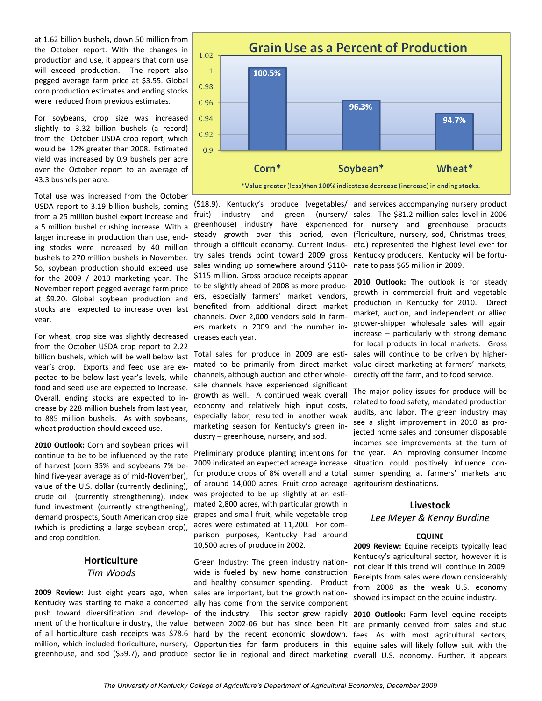at 1.62 billion bushels, down 50 million from the October report. With the changes in production and use, it appears that corn use will exceed production. The report also pegged average farm price at \$3.55. Global corn production estimates and ending stocks were reduced from previous estimates.

For soybeans, crop size was increased slightly to 3.32 billion bushels (a record) from the October USDA crop report, which would be 12% greater than 2008. Estimated yield was increased by 0.9 bushels per acre over the October report to an average of 43.3 bushels per acre.

Total use was increased from the October USDA report to 3.19 billion bushels, coming from a 25 million bushel export increase and a 5 million bushel crushing increase. With a larger increase in production than use, end‐ ing stocks were increased by 40 million bushels to 270 million bushels in November. So, soybean production should exceed use for the 2009 / 2010 marketing year. The November report pegged average farm price at \$9.20. Global soybean production and stocks are expected to increase over last year.

For wheat, crop size was slightly decreased from the October USDA crop report to 2.22 billion bushels, which will be well below last year's crop. Exports and feed use are ex‐ pected to be below last year's levels, while food and seed use are expected to increase. Overall, ending stocks are expected to in‐ crease by 228 million bushels from last year, to 885 million bushels. As with soybeans, wheat production should exceed use.

**2010 Outlook:** Corn and soybean prices will continue to be to be influenced by the rate of harvest (corn 35% and soybeans 7% be‐ hind five-year average as of mid-November), value of the U.S. dollar (currently declining), crude oil (currently strengthening), index fund investment (currently strengthening), demand prospects, South American crop size (which is predicting a large soybean crop), and crop condition.

## **Horticulture** *Tim Woods*

**2009 Review:** Just eight years ago, when Kentucky was starting to make a concerted push toward diversification and develop‐ ment of the horticulture industry, the value of all horticulture cash receipts was \$78.6 hard by the recent economic slowdown. million, which included floriculture, nursery, Opportunities for farm producers in this



(\$18.9). Kentucky's produce (vegetables/ and services accompanying nursery product fruit) industry and green (nursery/ sales. The \$81.2 million-sales-level in 2006 greenhouse) industry have experienced for nursery and greenhouse products steady growth over this period, even (floriculture, nursery, sod, Christmas trees, through a difficult economy. Current indus‐ etc.) represented the highest level ever for try sales trends point toward 2009 gross Kentucky producers. Kentucky will be fortu‐ sales winding up somewhere around \$110-\$115 million. Gross produce receipts appear to be slightly ahead of 2008 as more produc‐ ers, especially farmers' market vendors, benefited from additional direct market channels. Over 2,000 vendors sold in farm‐ ers markets in 2009 and the number in‐ creases each year.

Total sales for produce in 2009 are esti‐ mated to be primarily from direct market channels, although auction and other whole‐ sale channels have experienced significant growth as well. A continued weak overall economy and relatively high input costs, especially labor, resulted in another weak marketing season for Kentucky's green in‐ dustry – greenhouse, nursery, and sod.

Preliminary produce planting intentions for 2009 indicated an expected acreage increase for produce crops of 8% overall and a total of around 14,000 acres. Fruit crop acreage was projected to be up slightly at an estimated 2,800 acres, with particular growth in grapes and small fruit, while vegetable crop acres were estimated at 11,200. For comparison purposes, Kentucky had around 10,500 acres of produce in 2002.

greenhouse, and sod (\$59.7), and produce sector lie in regional and direct marketing Green Industry: The green industry nation‐ wide is fueled by new home construction and healthy consumer spending. Product sales are important, but the growth nationally has come from the service component of the industry. This sector grew rapidly between 2002‐06 but has since been hit

nate to pass \$65 million in 2009.

**2010 Outlook:** The outlook is for steady growth in commercial fruit and vegetable production in Kentucky for 2010. Direct market, auction, and independent or allied grower‐shipper wholesale sales will again increase – particularly with strong demand for local products in local markets. Gross sales will continue to be driven by higher‐ value direct marketing at farmers' markets, directly off the farm, and to food service.

The major policy issues for produce will be related to food safety, mandated production audits, and labor. The green industry may see a slight improvement in 2010 as projected home sales and consumer disposable incomes see improvements at the turn of the year. An improving consumer income situation could positively influence consumer spending at farmers' markets and agritourism destinations.

### **Livestock**

## *Lee Meyer & Kenny Burdine*

### **EQUINE**

**2009 Review:** Equine receipts typically lead Kentucky's agricultural sector, however it is not clear if this trend will continue in 2009. Receipts from sales were down considerably from 2008 as the weak U.S. economy showed its impact on the equine industry.

**2010 Outlook:** Farm level equine receipts are primarily derived from sales and stud fees. As with most agricultural sectors, equine sales will likely follow suit with the overall U.S. economy. Further, it appears